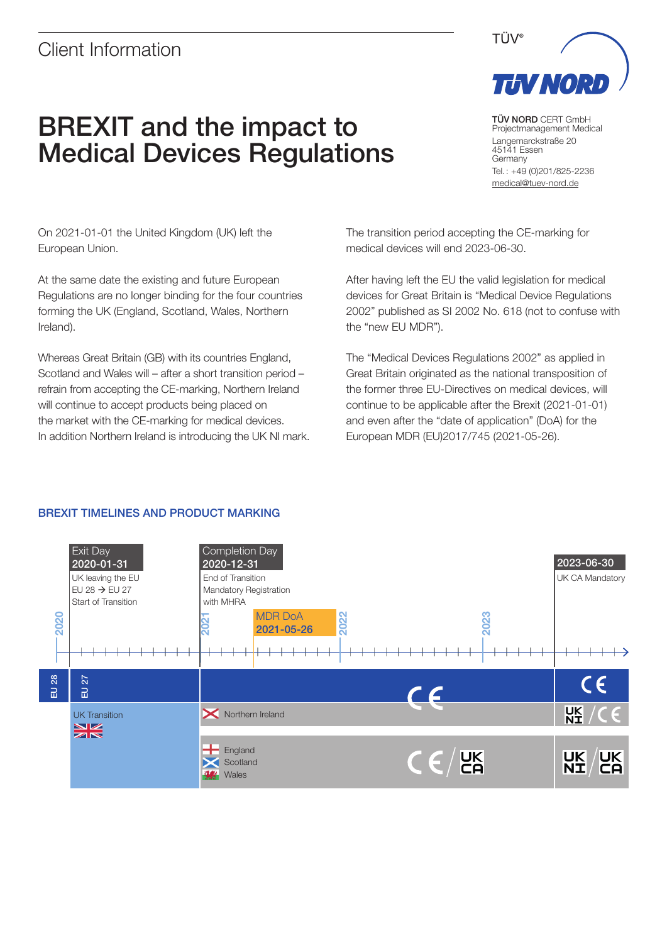## Client Information

# BREXIT and the impact to Medical Devices Regulations

TÜV NORD CERT GmbH Projectmanagement Medical Langemarckstraße 20 45141 Essen Germany Tel. : +49 (0)201/825-2236 [medical@tuev-nord.de](mailto:medical@tuev-nord.de)

On 2021-01-01 the United Kingdom (UK) left the European Union.

At the same date the existing and future European Regulations are no longer binding for the four countries forming the UK (England, Scotland, Wales, Northern Ireland).

Whereas Great Britain (GB) with its countries England, Scotland and Wales will – after a short transition period – refrain from accepting the CE-marking, Northern Ireland will continue to accept products being placed on the market with the CE-marking for medical devices. In addition Northern Ireland is introducing the UK NI mark. The transition period accepting the CE-marking for medical devices will end 2023-06-30.

After having left the EU the valid legislation for medical devices for Great Britain is "Medical Device Regulations 2002" published as SI 2002 No. 618 (not to confuse with the "new EU MDR").

The "Medical Devices Regulations 2002" as applied in Great Britain originated as the national transposition of the former three EU-Directives on medical devices, will continue to be applicable after the Brexit (2021-01-01) and even after the "date of application" (DoA) for the European MDR (EU)2017/745 (2021-05-26).

### BREXIT TIMELINES AND PRODUCT MARKING